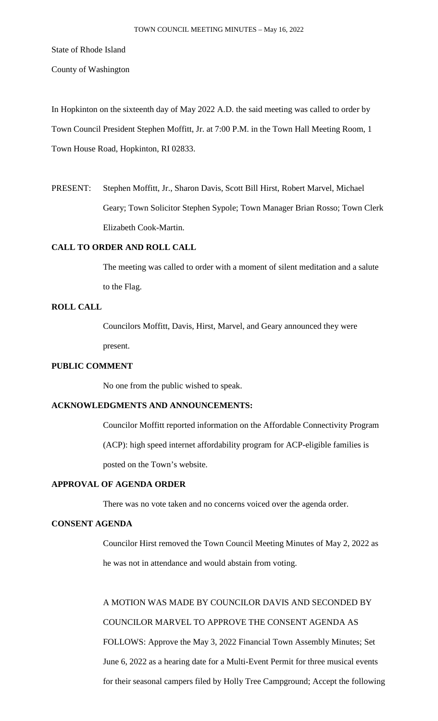State of Rhode Island

County of Washington

In Hopkinton on the sixteenth day of May 2022 A.D. the said meeting was called to order by Town Council President Stephen Moffitt, Jr. at 7:00 P.M. in the Town Hall Meeting Room, 1 Town House Road, Hopkinton, RI 02833.

PRESENT: Stephen Moffitt, Jr., Sharon Davis, Scott Bill Hirst, Robert Marvel, Michael Geary; Town Solicitor Stephen Sypole; Town Manager Brian Rosso; Town Clerk Elizabeth Cook-Martin.

### **CALL TO ORDER AND ROLL CALL**

The meeting was called to order with a moment of silent meditation and a salute to the Flag.

# **ROLL CALL**

Councilors Moffitt, Davis, Hirst, Marvel, and Geary announced they were present.

## **PUBLIC COMMENT**

No one from the public wished to speak.

# **ACKNOWLEDGMENTS AND ANNOUNCEMENTS:**

Councilor Moffitt reported information on the Affordable Connectivity Program (ACP): high speed internet affordability program for ACP-eligible families is posted on the Town's website.

# **APPROVAL OF AGENDA ORDER**

There was no vote taken and no concerns voiced over the agenda order.

# **CONSENT AGENDA**

Councilor Hirst removed the Town Council Meeting Minutes of May 2, 2022 as he was not in attendance and would abstain from voting.

A MOTION WAS MADE BY COUNCILOR DAVIS AND SECONDED BY COUNCILOR MARVEL TO APPROVE THE CONSENT AGENDA AS FOLLOWS: Approve the May 3, 2022 Financial Town Assembly Minutes; Set June 6, 2022 as a hearing date for a Multi-Event Permit for three musical events for their seasonal campers filed by Holly Tree Campground; Accept the following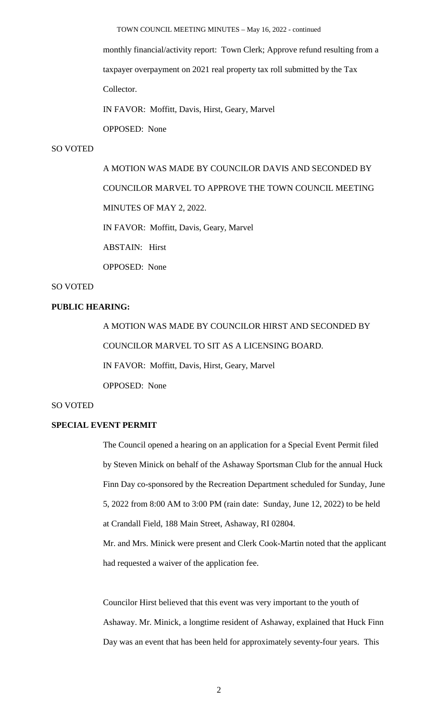monthly financial/activity report: Town Clerk; Approve refund resulting from a taxpayer overpayment on 2021 real property tax roll submitted by the Tax Collector.

IN FAVOR: Moffitt, Davis, Hirst, Geary, Marvel OPPOSED: None

## SO VOTED

A MOTION WAS MADE BY COUNCILOR DAVIS AND SECONDED BY COUNCILOR MARVEL TO APPROVE THE TOWN COUNCIL MEETING MINUTES OF MAY 2, 2022. IN FAVOR: Moffitt, Davis, Geary, Marvel ABSTAIN: Hirst OPPOSED: None

## SO VOTED

# **PUBLIC HEARING:**

A MOTION WAS MADE BY COUNCILOR HIRST AND SECONDED BY COUNCILOR MARVEL TO SIT AS A LICENSING BOARD. IN FAVOR: Moffitt, Davis, Hirst, Geary, Marvel OPPOSED: None

# SO VOTED

### **SPECIAL EVENT PERMIT**

The Council opened a hearing on an application for a Special Event Permit filed by Steven Minick on behalf of the Ashaway Sportsman Club for the annual Huck Finn Day co-sponsored by the Recreation Department scheduled for Sunday, June 5, 2022 from 8:00 AM to 3:00 PM (rain date: Sunday, June 12, 2022) to be held at Crandall Field, 188 Main Street, Ashaway, RI 02804.

Mr. and Mrs. Minick were present and Clerk Cook-Martin noted that the applicant had requested a waiver of the application fee.

Councilor Hirst believed that this event was very important to the youth of Ashaway. Mr. Minick, a longtime resident of Ashaway, explained that Huck Finn Day was an event that has been held for approximately seventy-four years. This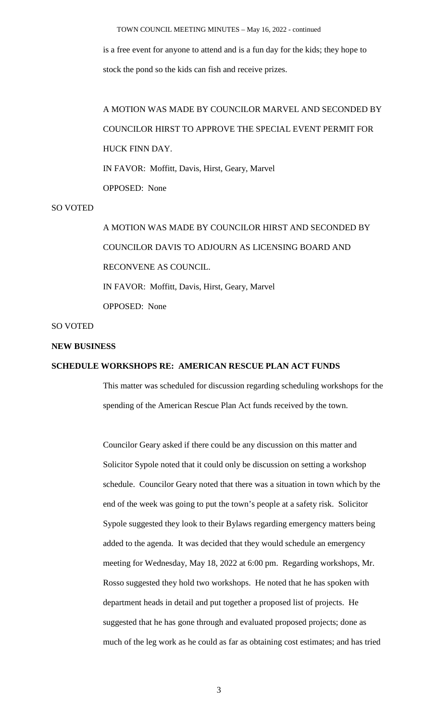is a free event for anyone to attend and is a fun day for the kids; they hope to stock the pond so the kids can fish and receive prizes.

A MOTION WAS MADE BY COUNCILOR MARVEL AND SECONDED BY COUNCILOR HIRST TO APPROVE THE SPECIAL EVENT PERMIT FOR HUCK FINN DAY. IN FAVOR: Moffitt, Davis, Hirst, Geary, Marvel

OPPOSED: None

# SO VOTED

A MOTION WAS MADE BY COUNCILOR HIRST AND SECONDED BY COUNCILOR DAVIS TO ADJOURN AS LICENSING BOARD AND RECONVENE AS COUNCIL. IN FAVOR: Moffitt, Davis, Hirst, Geary, Marvel OPPOSED: None

#### SO VOTED

#### **NEW BUSINESS**

# **SCHEDULE WORKSHOPS RE: AMERICAN RESCUE PLAN ACT FUNDS**

This matter was scheduled for discussion regarding scheduling workshops for the spending of the American Rescue Plan Act funds received by the town.

Councilor Geary asked if there could be any discussion on this matter and Solicitor Sypole noted that it could only be discussion on setting a workshop schedule. Councilor Geary noted that there was a situation in town which by the end of the week was going to put the town's people at a safety risk. Solicitor Sypole suggested they look to their Bylaws regarding emergency matters being added to the agenda. It was decided that they would schedule an emergency meeting for Wednesday, May 18, 2022 at 6:00 pm. Regarding workshops, Mr. Rosso suggested they hold two workshops. He noted that he has spoken with department heads in detail and put together a proposed list of projects. He suggested that he has gone through and evaluated proposed projects; done as much of the leg work as he could as far as obtaining cost estimates; and has tried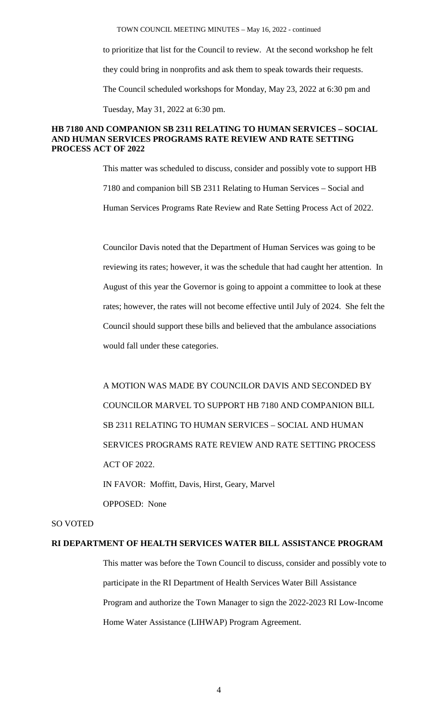TOWN COUNCIL MEETING MINUTES – May 16, 2022 - continued to prioritize that list for the Council to review. At the second workshop he felt they could bring in nonprofits and ask them to speak towards their requests. The Council scheduled workshops for Monday, May 23, 2022 at 6:30 pm and Tuesday, May 31, 2022 at 6:30 pm.

## **HB 7180 AND COMPANION SB 2311 RELATING TO HUMAN SERVICES – SOCIAL AND HUMAN SERVICES PROGRAMS RATE REVIEW AND RATE SETTING PROCESS ACT OF 2022**

This matter was scheduled to discuss, consider and possibly vote to support HB 7180 and companion bill SB 2311 Relating to Human Services – Social and Human Services Programs Rate Review and Rate Setting Process Act of 2022.

Councilor Davis noted that the Department of Human Services was going to be reviewing its rates; however, it was the schedule that had caught her attention. In August of this year the Governor is going to appoint a committee to look at these rates; however, the rates will not become effective until July of 2024. She felt the Council should support these bills and believed that the ambulance associations would fall under these categories.

A MOTION WAS MADE BY COUNCILOR DAVIS AND SECONDED BY COUNCILOR MARVEL TO SUPPORT HB 7180 AND COMPANION BILL SB 2311 RELATING TO HUMAN SERVICES – SOCIAL AND HUMAN SERVICES PROGRAMS RATE REVIEW AND RATE SETTING PROCESS ACT OF 2022.

IN FAVOR: Moffitt, Davis, Hirst, Geary, Marvel OPPOSED: None

SO VOTED

## **RI DEPARTMENT OF HEALTH SERVICES WATER BILL ASSISTANCE PROGRAM**

This matter was before the Town Council to discuss, consider and possibly vote to participate in the RI Department of Health Services Water Bill Assistance Program and authorize the Town Manager to sign the 2022-2023 RI Low-Income Home Water Assistance (LIHWAP) Program Agreement.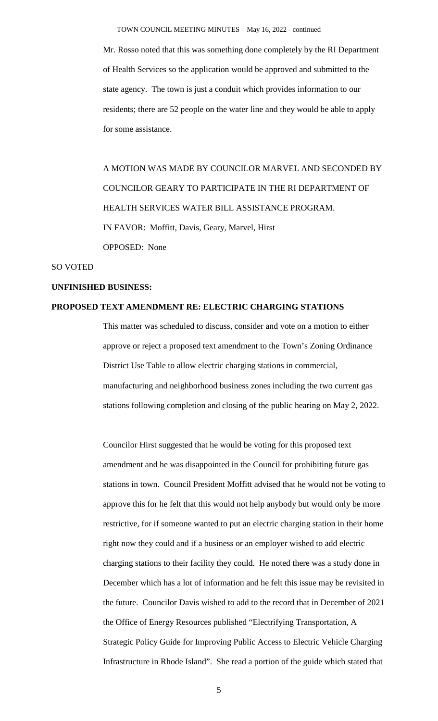Mr. Rosso noted that this was something done completely by the RI Department of Health Services so the application would be approved and submitted to the state agency. The town is just a conduit which provides information to our residents; there are 52 people on the water line and they would be able to apply for some assistance.

A MOTION WAS MADE BY COUNCILOR MARVEL AND SECONDED BY COUNCILOR GEARY TO PARTICIPATE IN THE RI DEPARTMENT OF HEALTH SERVICES WATER BILL ASSISTANCE PROGRAM. IN FAVOR: Moffitt, Davis, Geary, Marvel, Hirst OPPOSED: None

#### SO VOTED

### **UNFINISHED BUSINESS:**

### **PROPOSED TEXT AMENDMENT RE: ELECTRIC CHARGING STATIONS**

This matter was scheduled to discuss, consider and vote on a motion to either approve or reject a proposed text amendment to the Town's Zoning Ordinance District Use Table to allow electric charging stations in commercial, manufacturing and neighborhood business zones including the two current gas stations following completion and closing of the public hearing on May 2, 2022.

Councilor Hirst suggested that he would be voting for this proposed text amendment and he was disappointed in the Council for prohibiting future gas stations in town. Council President Moffitt advised that he would not be voting to approve this for he felt that this would not help anybody but would only be more restrictive, for if someone wanted to put an electric charging station in their home right now they could and if a business or an employer wished to add electric charging stations to their facility they could. He noted there was a study done in December which has a lot of information and he felt this issue may be revisited in the future. Councilor Davis wished to add to the record that in December of 2021 the Office of Energy Resources published "Electrifying Transportation, A Strategic Policy Guide for Improving Public Access to Electric Vehicle Charging Infrastructure in Rhode Island". She read a portion of the guide which stated that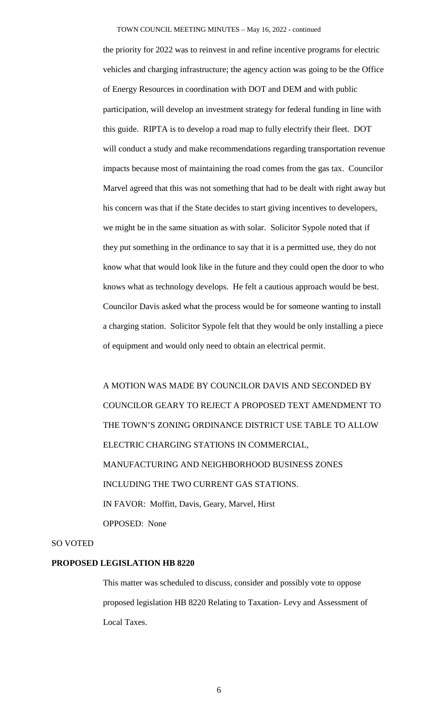the priority for 2022 was to reinvest in and refine incentive programs for electric vehicles and charging infrastructure; the agency action was going to be the Office of Energy Resources in coordination with DOT and DEM and with public participation, will develop an investment strategy for federal funding in line with this guide. RIPTA is to develop a road map to fully electrify their fleet. DOT will conduct a study and make recommendations regarding transportation revenue impacts because most of maintaining the road comes from the gas tax. Councilor Marvel agreed that this was not something that had to be dealt with right away but his concern was that if the State decides to start giving incentives to developers, we might be in the same situation as with solar. Solicitor Sypole noted that if they put something in the ordinance to say that it is a permitted use, they do not know what that would look like in the future and they could open the door to who knows what as technology develops. He felt a cautious approach would be best. Councilor Davis asked what the process would be for someone wanting to install a charging station. Solicitor Sypole felt that they would be only installing a piece of equipment and would only need to obtain an electrical permit.

A MOTION WAS MADE BY COUNCILOR DAVIS AND SECONDED BY COUNCILOR GEARY TO REJECT A PROPOSED TEXT AMENDMENT TO THE TOWN'S ZONING ORDINANCE DISTRICT USE TABLE TO ALLOW ELECTRIC CHARGING STATIONS IN COMMERCIAL, MANUFACTURING AND NEIGHBORHOOD BUSINESS ZONES INCLUDING THE TWO CURRENT GAS STATIONS. IN FAVOR: Moffitt, Davis, Geary, Marvel, Hirst OPPOSED: None

SO VOTED

## **PROPOSED LEGISLATION HB 8220**

This matter was scheduled to discuss, consider and possibly vote to oppose proposed legislation HB 8220 Relating to Taxation- Levy and Assessment of Local Taxes.

6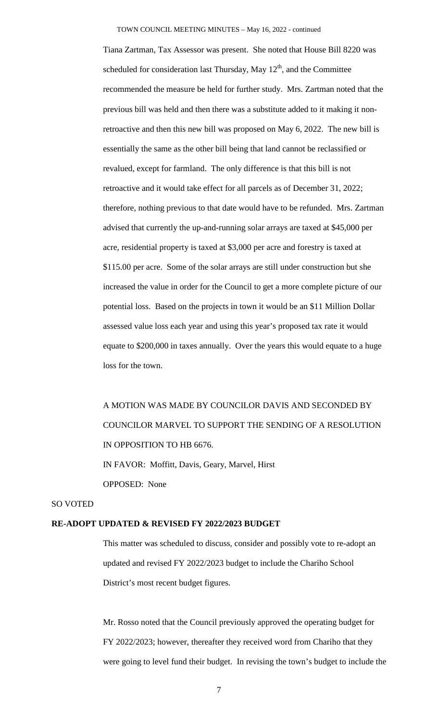Tiana Zartman, Tax Assessor was present. She noted that House Bill 8220 was scheduled for consideration last Thursday, May  $12<sup>th</sup>$ , and the Committee recommended the measure be held for further study. Mrs. Zartman noted that the previous bill was held and then there was a substitute added to it making it nonretroactive and then this new bill was proposed on May 6, 2022. The new bill is essentially the same as the other bill being that land cannot be reclassified or revalued, except for farmland. The only difference is that this bill is not retroactive and it would take effect for all parcels as of December 31, 2022; therefore, nothing previous to that date would have to be refunded. Mrs. Zartman advised that currently the up-and-running solar arrays are taxed at \$45,000 per acre, residential property is taxed at \$3,000 per acre and forestry is taxed at \$115.00 per acre. Some of the solar arrays are still under construction but she increased the value in order for the Council to get a more complete picture of our potential loss. Based on the projects in town it would be an \$11 Million Dollar assessed value loss each year and using this year's proposed tax rate it would equate to \$200,000 in taxes annually. Over the years this would equate to a huge loss for the town.

A MOTION WAS MADE BY COUNCILOR DAVIS AND SECONDED BY COUNCILOR MARVEL TO SUPPORT THE SENDING OF A RESOLUTION IN OPPOSITION TO HB 6676. IN FAVOR: Moffitt, Davis, Geary, Marvel, Hirst OPPOSED: None

## SO VOTED

#### **RE-ADOPT UPDATED & REVISED FY 2022/2023 BUDGET**

This matter was scheduled to discuss, consider and possibly vote to re-adopt an updated and revised FY 2022/2023 budget to include the Chariho School District's most recent budget figures.

Mr. Rosso noted that the Council previously approved the operating budget for FY 2022/2023; however, thereafter they received word from Chariho that they were going to level fund their budget. In revising the town's budget to include the

7